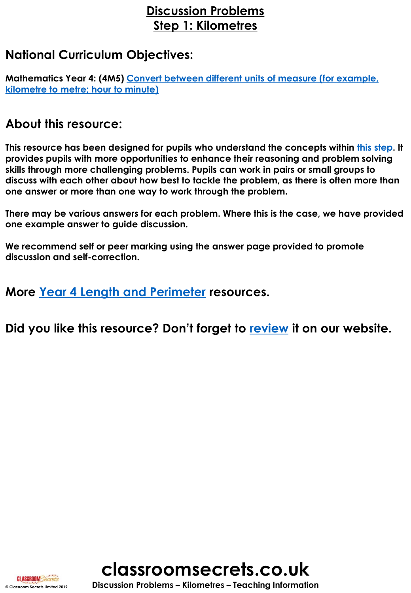# **Discussion Problems Step 1: Kilometres**

### **National Curriculum Objectives:**

**Mathematics Year 4: (4M5) [Convert between different units of measure \(for example,](https://classroomsecrets.co.uk/content-domain-filter/?fwp_contentdomain=4m5)  kilometre to metre; hour to minute)**

### **About this resource:**

**This resource has been designed for pupils who understand the concepts within [this step](https://classroomsecrets.co.uk/kilometres-year-4-length-and-perimeter-free-resource-pack/). It provides pupils with more opportunities to enhance their reasoning and problem solving skills through more challenging problems. Pupils can work in pairs or small groups to discuss with each other about how best to tackle the problem, as there is often more than one answer or more than one way to work through the problem.**

**There may be various answers for each problem. Where this is the case, we have provided one example answer to guide discussion.** 

**We recommend self or peer marking using the answer page provided to promote discussion and self-correction.**

**More [Year 4 Length and Perimeter](https://classroomsecrets.co.uk/category/maths/year-4/autumn-block-3-length-and-perimeter/) resources.**

**Did you like this resource? Don't forget to [review](http://classroom.secrets.co.uk/length-and-perimeter-year-4-kilometres-discussion-problems/) it on our website.**





**© Classroom Secrets Limited 2019 Discussion Problems – Kilometres – Teaching Information**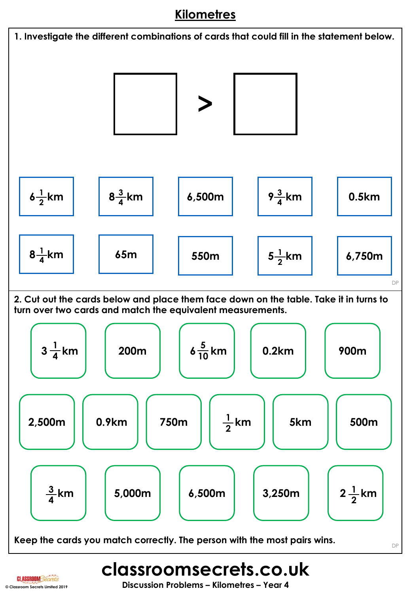# **Kilometres**



**CLASSROOM Secrets**<br>
© Classroom Secrets Limited 2019<br> **Discussion Problems – Kilometres – Year 4**